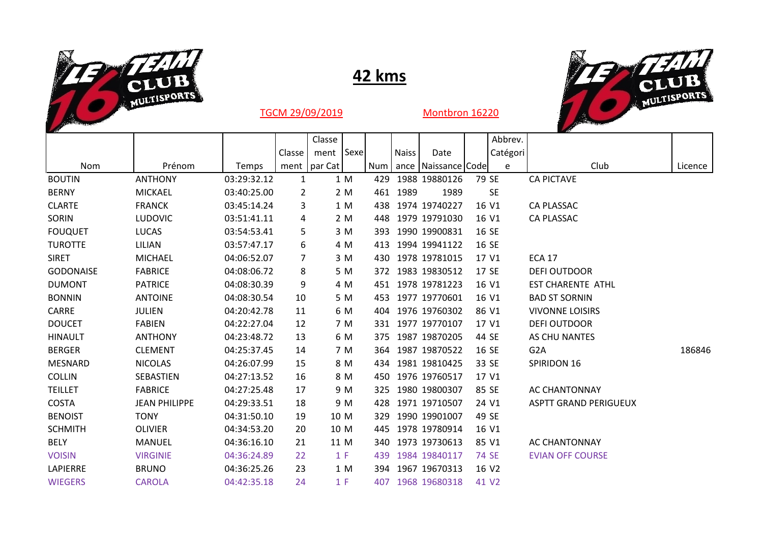

## **42 kms**



TGCM 29/09/2019 Montbron 16220

|                      |             |        | Classe |                |                                                                                                                                                                         |              |                 |                                                                                                                                                                                                                                                                                                                                                                                                                              | Abbrev. |                                                                                                                                                                                                                                                     |          |
|----------------------|-------------|--------|--------|----------------|-------------------------------------------------------------------------------------------------------------------------------------------------------------------------|--------------|-----------------|------------------------------------------------------------------------------------------------------------------------------------------------------------------------------------------------------------------------------------------------------------------------------------------------------------------------------------------------------------------------------------------------------------------------------|---------|-----------------------------------------------------------------------------------------------------------------------------------------------------------------------------------------------------------------------------------------------------|----------|
|                      |             | Classe | ment   |                |                                                                                                                                                                         | <b>Naiss</b> | Date            |                                                                                                                                                                                                                                                                                                                                                                                                                              |         |                                                                                                                                                                                                                                                     |          |
| Prénom               | Temps       |        |        |                | Num                                                                                                                                                                     |              |                 |                                                                                                                                                                                                                                                                                                                                                                                                                              | e       | Club                                                                                                                                                                                                                                                | Licence  |
| <b>ANTHONY</b>       | 03:29:32.12 | 1      |        |                | 429                                                                                                                                                                     |              |                 |                                                                                                                                                                                                                                                                                                                                                                                                                              |         | <b>CA PICTAVE</b>                                                                                                                                                                                                                                   |          |
| <b>MICKAEL</b>       | 03:40:25.00 | 2      |        |                |                                                                                                                                                                         |              | 1989            |                                                                                                                                                                                                                                                                                                                                                                                                                              |         |                                                                                                                                                                                                                                                     |          |
| <b>FRANCK</b>        | 03:45:14.24 | 3      |        |                | 438                                                                                                                                                                     |              |                 |                                                                                                                                                                                                                                                                                                                                                                                                                              |         | <b>CA PLASSAC</b>                                                                                                                                                                                                                                   |          |
| <b>LUDOVIC</b>       | 03:51:41.11 | 4      |        |                | 448                                                                                                                                                                     |              |                 |                                                                                                                                                                                                                                                                                                                                                                                                                              |         | <b>CA PLASSAC</b>                                                                                                                                                                                                                                   |          |
| <b>LUCAS</b>         | 03:54:53.41 | 5      |        |                | 393                                                                                                                                                                     |              |                 |                                                                                                                                                                                                                                                                                                                                                                                                                              |         |                                                                                                                                                                                                                                                     |          |
| LILIAN               | 03:57:47.17 | 6      |        |                | 413                                                                                                                                                                     |              |                 |                                                                                                                                                                                                                                                                                                                                                                                                                              |         |                                                                                                                                                                                                                                                     |          |
| <b>MICHAEL</b>       | 04:06:52.07 | 7      |        |                | 430                                                                                                                                                                     |              |                 |                                                                                                                                                                                                                                                                                                                                                                                                                              |         | <b>ECA 17</b>                                                                                                                                                                                                                                       |          |
| <b>FABRICE</b>       | 04:08:06.72 | 8      |        |                |                                                                                                                                                                         |              |                 |                                                                                                                                                                                                                                                                                                                                                                                                                              |         | <b>DEFI OUTDOOR</b>                                                                                                                                                                                                                                 |          |
| <b>PATRICE</b>       | 04:08:30.39 | 9      |        |                | 451                                                                                                                                                                     |              |                 |                                                                                                                                                                                                                                                                                                                                                                                                                              |         | <b>EST CHARENTE ATHL</b>                                                                                                                                                                                                                            |          |
| <b>ANTOINE</b>       | 04:08:30.54 | 10     |        |                | 453                                                                                                                                                                     |              |                 |                                                                                                                                                                                                                                                                                                                                                                                                                              |         | <b>BAD ST SORNIN</b>                                                                                                                                                                                                                                |          |
| <b>JULIEN</b>        | 04:20:42.78 | 11     |        |                |                                                                                                                                                                         |              |                 |                                                                                                                                                                                                                                                                                                                                                                                                                              |         | <b>VIVONNE LOISIRS</b>                                                                                                                                                                                                                              |          |
| <b>FABIEN</b>        | 04:22:27.04 | 12     |        |                | 331                                                                                                                                                                     |              |                 |                                                                                                                                                                                                                                                                                                                                                                                                                              |         | <b>DEFI OUTDOOR</b>                                                                                                                                                                                                                                 |          |
| <b>ANTHONY</b>       | 04:23:48.72 | 13     |        |                |                                                                                                                                                                         |              |                 |                                                                                                                                                                                                                                                                                                                                                                                                                              |         | AS CHU NANTES                                                                                                                                                                                                                                       |          |
| <b>CLEMENT</b>       | 04:25:37.45 | 14     |        |                |                                                                                                                                                                         |              |                 |                                                                                                                                                                                                                                                                                                                                                                                                                              |         | G <sub>2</sub> A                                                                                                                                                                                                                                    | 186846   |
| <b>NICOLAS</b>       | 04:26:07.99 | 15     |        |                | 434                                                                                                                                                                     |              |                 |                                                                                                                                                                                                                                                                                                                                                                                                                              |         | SPIRIDON 16                                                                                                                                                                                                                                         |          |
| SEBASTIEN            | 04:27:13.52 | 16     |        |                |                                                                                                                                                                         |              |                 |                                                                                                                                                                                                                                                                                                                                                                                                                              |         |                                                                                                                                                                                                                                                     |          |
| <b>FABRICE</b>       | 04:27:25.48 | 17     |        |                | 325                                                                                                                                                                     |              |                 |                                                                                                                                                                                                                                                                                                                                                                                                                              |         | <b>AC CHANTONNAY</b>                                                                                                                                                                                                                                |          |
| <b>JEAN PHILIPPE</b> | 04:29:33.51 | 18     |        |                | 428                                                                                                                                                                     |              |                 |                                                                                                                                                                                                                                                                                                                                                                                                                              |         | <b>ASPTT GRAND PERIGUEUX</b>                                                                                                                                                                                                                        |          |
| <b>TONY</b>          | 04:31:50.10 | 19     |        |                | 329                                                                                                                                                                     |              |                 |                                                                                                                                                                                                                                                                                                                                                                                                                              |         |                                                                                                                                                                                                                                                     |          |
| <b>OLIVIER</b>       | 04:34:53.20 | 20     |        |                | 445                                                                                                                                                                     |              |                 |                                                                                                                                                                                                                                                                                                                                                                                                                              |         |                                                                                                                                                                                                                                                     |          |
| <b>MANUEL</b>        | 04:36:16.10 | 21     |        |                |                                                                                                                                                                         |              |                 |                                                                                                                                                                                                                                                                                                                                                                                                                              |         | <b>AC CHANTONNAY</b>                                                                                                                                                                                                                                |          |
| <b>VIRGINIE</b>      | 04:36:24.89 | 22     |        |                | 439                                                                                                                                                                     |              |                 |                                                                                                                                                                                                                                                                                                                                                                                                                              |         | <b>EVIAN OFF COURSE</b>                                                                                                                                                                                                                             |          |
| <b>BRUNO</b>         | 04:36:25.26 | 23     |        |                | 394                                                                                                                                                                     |              |                 |                                                                                                                                                                                                                                                                                                                                                                                                                              |         |                                                                                                                                                                                                                                                     |          |
| <b>CAROLA</b>        | 04:42:35.18 | 24     |        |                |                                                                                                                                                                         |              |                 |                                                                                                                                                                                                                                                                                                                                                                                                                              |         |                                                                                                                                                                                                                                                     |          |
|                      |             |        |        | ment   par Cat | 1 M<br>2 M<br>1 M<br>2 M<br>3 M<br>4 M<br>3 M<br>5 M<br>4 M<br>5 M<br>6 M<br>7 M<br>6 M<br>7 M<br>8 M<br>8 M<br>9 M<br>9 M<br>10 M<br>10 M<br>11 M<br>1 F<br>1 M<br>1 F | <b>Sexe</b>  | 461 1989<br>340 | 1988 19880126<br>1974 19740227<br>1979 19791030<br>1990 19900831<br>1994 19941122<br>1978 1978 1015<br>372 1983 19830512<br>1978 19781223<br>1977 19770601<br>404 1976 19760302<br>1977 19770107<br>375 1987 19870205<br>364 1987 19870522<br>1981 19810425<br>450 1976 19760517<br>1980 19800307<br>1971 19710507<br>1990 19901007<br>1978 19780914<br>1973 19730613<br>1984 19840117<br>1967 19670313<br>407 1968 19680318 |         | ance   Naissance   Code<br>79 SE<br><b>SE</b><br>16 V1<br>16 V1<br>16 SE<br>16 SE<br>17 V1<br>17 SE<br>16 V1<br>16 V1<br>86 V1<br>17 V1<br>44 SE<br>16 SE<br>33 SE<br>17 V1<br>85 SE<br>24 V1<br>49 SE<br>16 V1<br>85 V1<br>74 SE<br>16 V2<br>41 V2 | Catégori |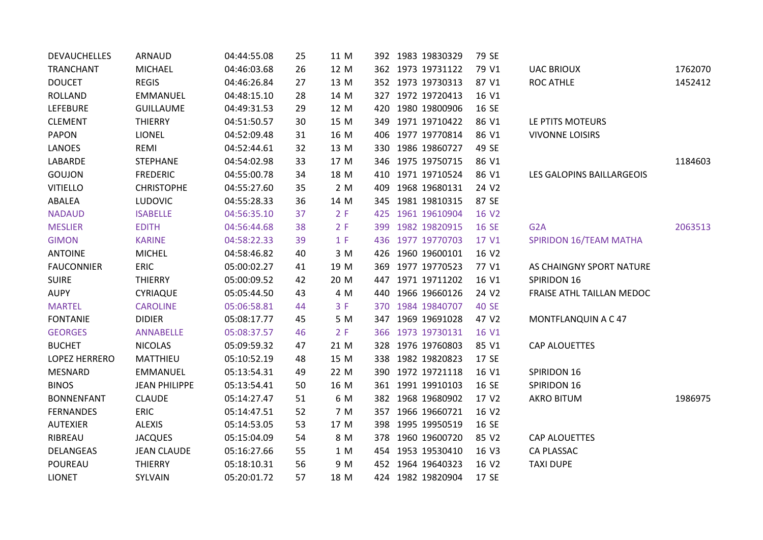| <b>DEVAUCHELLES</b> | <b>ARNAUD</b>        | 04:44:55.08 | 25 | 11 M | 392 1983 19830329  | 79 SE        |                           |         |
|---------------------|----------------------|-------------|----|------|--------------------|--------------|---------------------------|---------|
| <b>TRANCHANT</b>    | <b>MICHAEL</b>       | 04:46:03.68 | 26 | 12 M | 362 1973 19731122  | 79 V1        | <b>UAC BRIOUX</b>         | 1762070 |
| <b>DOUCET</b>       | <b>REGIS</b>         | 04:46:26.84 | 27 | 13 M | 352 1973 19730313  | 87 V1        | <b>ROC ATHLE</b>          | 1452412 |
| <b>ROLLAND</b>      | <b>EMMANUEL</b>      | 04:48:15.10 | 28 | 14 M | 327 1972 19720413  | 16 V1        |                           |         |
| <b>LEFEBURE</b>     | <b>GUILLAUME</b>     | 04:49:31.53 | 29 | 12 M | 420 1980 19800906  | 16 SE        |                           |         |
| <b>CLEMENT</b>      | <b>THIERRY</b>       | 04:51:50.57 | 30 | 15 M | 349 1971 19710422  | 86 V1        | LE PTITS MOTEURS          |         |
| <b>PAPON</b>        | <b>LIONEL</b>        | 04:52:09.48 | 31 | 16 M | 406 1977 19770814  | 86 V1        | <b>VIVONNE LOISIRS</b>    |         |
| LANOES              | REMI                 | 04:52:44.61 | 32 | 13 M | 330 1986 19860727  | 49 SE        |                           |         |
| LABARDE             | <b>STEPHANE</b>      | 04:54:02.98 | 33 | 17 M | 346 1975 19750715  | 86 V1        |                           | 1184603 |
| GOUJON              | <b>FREDERIC</b>      | 04:55:00.78 | 34 | 18 M | 410 1971 19710524  | 86 V1        | LES GALOPINS BAILLARGEOIS |         |
| <b>VITIELLO</b>     | <b>CHRISTOPHE</b>    | 04:55:27.60 | 35 | 2 M  | 409 1968 19680131  | 24 V2        |                           |         |
| ABALEA              | <b>LUDOVIC</b>       | 04:55:28.33 | 36 | 14 M | 345 1981 19810315  | 87 SE        |                           |         |
| <b>NADAUD</b>       | <b>ISABELLE</b>      | 04:56:35.10 | 37 | 2 F  | 425 1961 19610904  | 16 V2        |                           |         |
| <b>MESLIER</b>      | <b>EDITH</b>         | 04:56:44.68 | 38 | 2 F  | 399 1982 19820915  | 16 SE        | G <sub>2</sub> A          | 2063513 |
| <b>GIMON</b>        | <b>KARINE</b>        | 04:58:22.33 | 39 | 1 F  | 436 1977 19770703  | 17 V1        | SPIRIDON 16/TEAM MATHA    |         |
| <b>ANTOINE</b>      | <b>MICHEL</b>        | 04:58:46.82 | 40 | 3 M  | 426 1960 19600101  | 16 V2        |                           |         |
| <b>FAUCONNIER</b>   | ERIC                 | 05:00:02.27 | 41 | 19 M | 369 1977 19770523  | 77 V1        | AS CHAINGNY SPORT NATURE  |         |
| <b>SUIRE</b>        | <b>THIERRY</b>       | 05:00:09.52 | 42 | 20 M | 447 1971 19711202  | 16 V1        | SPIRIDON 16               |         |
| <b>AUPY</b>         | <b>CYRIAQUE</b>      | 05:05:44.50 | 43 | 4 M  | 440 1966 19660126  | 24 V2        | FRAISE ATHL TAILLAN MEDOC |         |
| <b>MARTEL</b>       | <b>CAROLINE</b>      | 05:06:58.81 | 44 | 3 F  | 370 1984 19840707  | <b>40 SE</b> |                           |         |
| <b>FONTANIE</b>     | <b>DIDIER</b>        | 05:08:17.77 | 45 | 5 M  | 347 1969 19691028  | 47 V2        | MONTFLANQUIN A C 47       |         |
| <b>GEORGES</b>      | <b>ANNABELLE</b>     | 05:08:37.57 | 46 | 2 F  | 366 1973 19730131  | 16 V1        |                           |         |
| <b>BUCHET</b>       | <b>NICOLAS</b>       | 05:09:59.32 | 47 | 21 M | 328 1976 19760803  | 85 V1        | CAP ALOUETTES             |         |
| LOPEZ HERRERO       | MATTHIEU             | 05:10:52.19 | 48 | 15 M | 338 1982 19820823  | 17 SE        |                           |         |
| <b>MESNARD</b>      | EMMANUEL             | 05:13:54.31 | 49 | 22 M | 390 1972 19721118  | 16 V1        | SPIRIDON 16               |         |
| <b>BINOS</b>        | <b>JEAN PHILIPPE</b> | 05:13:54.41 | 50 | 16 M | 361 1991 19910103  | 16 SE        | SPIRIDON 16               |         |
| <b>BONNENFANT</b>   | <b>CLAUDE</b>        | 05:14:27.47 | 51 | 6 M  | 382 1968 19680902  | 17 V2        | <b>AKRO BITUM</b>         | 1986975 |
| <b>FERNANDES</b>    | <b>ERIC</b>          | 05:14:47.51 | 52 | 7 M  | 357 1966 19660721  | 16 V2        |                           |         |
| <b>AUTEXIER</b>     | <b>ALEXIS</b>        | 05:14:53.05 | 53 | 17 M | 398 1995 1995 0519 | 16 SE        |                           |         |
| RIBREAU             | <b>JACQUES</b>       | 05:15:04.09 | 54 | 8 M  | 378 1960 19600720  | 85 V2        | <b>CAP ALOUETTES</b>      |         |
| DELANGEAS           | <b>JEAN CLAUDE</b>   | 05:16:27.66 | 55 | 1 M  | 454 1953 19530410  | 16 V3        | CA PLASSAC                |         |
| POUREAU             | <b>THIERRY</b>       | 05:18:10.31 | 56 | 9 M  | 452 1964 19640323  | 16 V2        | <b>TAXI DUPE</b>          |         |
| <b>LIONET</b>       | SYLVAIN              | 05:20:01.72 | 57 | 18 M | 424 1982 19820904  | 17 SE        |                           |         |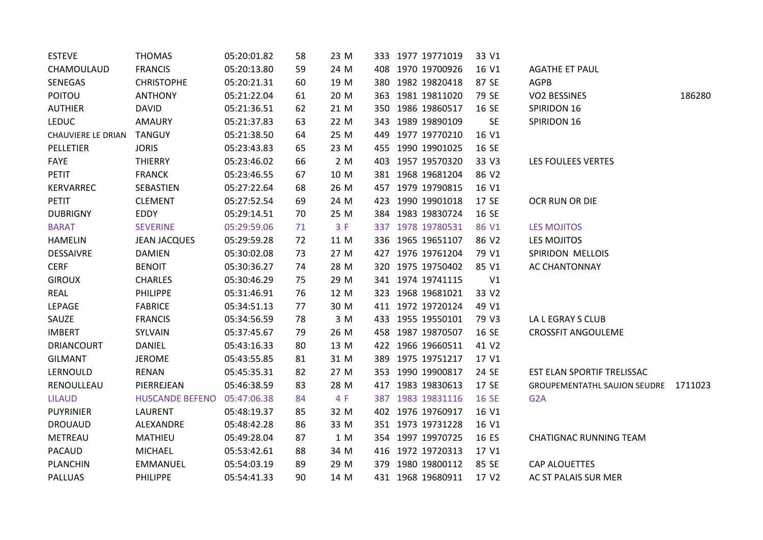| <b>ESTEVE</b>      | <b>THOMAS</b>          | 05:20:01.82 | 58 | 23 M |  | 333 1977 19771019  | 33 V1     |                                      |        |
|--------------------|------------------------|-------------|----|------|--|--------------------|-----------|--------------------------------------|--------|
| CHAMOULAUD         | <b>FRANCIS</b>         | 05:20:13.80 | 59 | 24 M |  | 408 1970 19700926  | 16 V1     | <b>AGATHE ET PAUL</b>                |        |
| SENEGAS            | <b>CHRISTOPHE</b>      | 05:20:21.31 | 60 | 19 M |  | 380 1982 19820418  | 87 SE     | <b>AGPB</b>                          |        |
| <b>POITOU</b>      | <b>ANTHONY</b>         | 05:21:22.04 | 61 | 20 M |  | 363 1981 19811020  | 79 SE     | <b>VO2 BESSINES</b>                  | 186280 |
| <b>AUTHIER</b>     | <b>DAVID</b>           | 05:21:36.51 | 62 | 21 M |  | 350 1986 19860517  | 16 SE     | SPIRIDON 16                          |        |
| <b>LEDUC</b>       | <b>AMAURY</b>          | 05:21:37.83 | 63 | 22 M |  | 343 1989 19890109  | <b>SE</b> | SPIRIDON 16                          |        |
| CHAUVIERE LE DRIAN | <b>TANGUY</b>          | 05:21:38.50 | 64 | 25 M |  | 449 1977 19770210  | 16 V1     |                                      |        |
| PELLETIER          | <b>JORIS</b>           | 05:23:43.83 | 65 | 23 M |  | 455 1990 19901025  | 16 SE     |                                      |        |
| FAYE               | <b>THIERRY</b>         | 05:23:46.02 | 66 | 2 M  |  | 403 1957 19570320  | 33 V3     | LES FOULEES VERTES                   |        |
| <b>PETIT</b>       | <b>FRANCK</b>          | 05:23:46.55 | 67 | 10 M |  | 381 1968 19681204  | 86 V2     |                                      |        |
| KERVARREC          | SEBASTIEN              | 05:27:22.64 | 68 | 26 M |  | 457 1979 19790815  | 16 V1     |                                      |        |
| <b>PETIT</b>       | <b>CLEMENT</b>         | 05:27:52.54 | 69 | 24 M |  | 423 1990 19901018  | 17 SE     | OCR RUN OR DIE                       |        |
| <b>DUBRIGNY</b>    | EDDY                   | 05:29:14.51 | 70 | 25 M |  | 384 1983 19830724  | 16 SE     |                                      |        |
| <b>BARAT</b>       | <b>SEVERINE</b>        | 05:29:59.06 | 71 | 3F   |  | 337 1978 19780531  | 86 V1     | <b>LES MOJITOS</b>                   |        |
| <b>HAMELIN</b>     | <b>JEAN JACQUES</b>    | 05:29:59.28 | 72 | 11 M |  | 336 1965 19651107  | 86 V2     | LES MOJITOS                          |        |
| <b>DESSAIVRE</b>   | <b>DAMIEN</b>          | 05:30:02.08 | 73 | 27 M |  | 427 1976 19761204  | 79 V1     | SPIRIDON MELLOIS                     |        |
| <b>CERF</b>        | <b>BENOIT</b>          | 05:30:36.27 | 74 | 28 M |  | 320 1975 19750402  | 85 V1     | AC CHANTONNAY                        |        |
| <b>GIROUX</b>      | <b>CHARLES</b>         | 05:30:46.29 | 75 | 29 M |  | 341 1974 19741115  | V1        |                                      |        |
| REAL               | <b>PHILIPPE</b>        | 05:31:46.91 | 76 | 12 M |  | 323 1968 1968 1021 | 33 V2     |                                      |        |
| LEPAGE             | <b>FABRICE</b>         | 05:34:51.13 | 77 | 30 M |  | 411 1972 19720124  | 49 V1     |                                      |        |
| SAUZE              | <b>FRANCIS</b>         | 05:34:56.59 | 78 | 3 M  |  | 433 1955 19550101  | 79 V3     | LA L EGRAY S CLUB                    |        |
| <b>IMBERT</b>      | SYLVAIN                | 05:37:45.67 | 79 | 26 M |  | 458 1987 19870507  | 16 SE     | <b>CROSSFIT ANGOULEME</b>            |        |
| <b>DRIANCOURT</b>  | DANIEL                 | 05:43:16.33 | 80 | 13 M |  | 422 1966 19660511  | 41 V2     |                                      |        |
| <b>GILMANT</b>     | <b>JEROME</b>          | 05:43:55.85 | 81 | 31 M |  | 389 1975 19751217  | 17 V1     |                                      |        |
| LERNOULD           | RENAN                  | 05:45:35.31 | 82 | 27 M |  | 353 1990 19900817  | 24 SE     | EST ELAN SPORTIF TRELISSAC           |        |
| RENOULLEAU         | PIERREJEAN             | 05:46:38.59 | 83 | 28 M |  | 417 1983 19830613  | 17 SE     | GROUPEMENTATHL SAUJON SEUDRE 1711023 |        |
| <b>LILAUD</b>      | <b>HUSCANDE BEFENO</b> | 05:47:06.38 | 84 | 4 F  |  | 387 1983 19831116  | 16 SE     | G <sub>2</sub> A                     |        |
| <b>PUYRINIER</b>   | <b>LAURENT</b>         | 05:48:19.37 | 85 | 32 M |  | 402 1976 19760917  | 16 V1     |                                      |        |
| <b>DROUAUD</b>     | ALEXANDRE              | 05:48:42.28 | 86 | 33 M |  | 351 1973 19731228  | 16 V1     |                                      |        |
| METREAU            | MATHIEU                | 05:49:28.04 | 87 | 1 M  |  | 354 1997 19970725  | 16 ES     | <b>CHATIGNAC RUNNING TEAM</b>        |        |
| <b>PACAUD</b>      | <b>MICHAEL</b>         | 05:53:42.61 | 88 | 34 M |  | 416 1972 19720313  | 17 V1     |                                      |        |
| <b>PLANCHIN</b>    | EMMANUEL               | 05:54:03.19 | 89 | 29 M |  | 379 1980 19800112  | 85 SE     | <b>CAP ALOUETTES</b>                 |        |
| <b>PALLUAS</b>     | PHILIPPE               | 05:54:41.33 | 90 | 14 M |  | 431 1968 19680911  | 17 V2     | AC ST PALAIS SUR MER                 |        |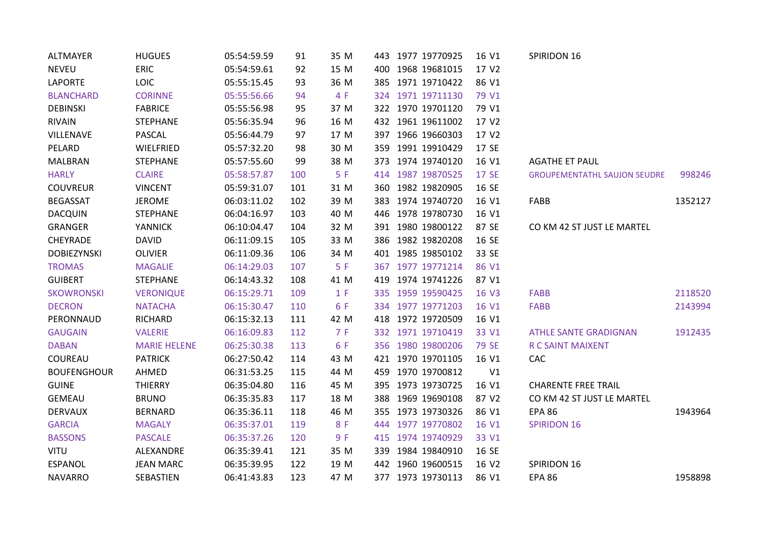| <b>ALTMAYER</b>    | <b>HUGUES</b>       | 05:54:59.59 | 91  | 35 M | 443 1977 19770925    | 16 V1          | SPIRIDON 16                         |         |
|--------------------|---------------------|-------------|-----|------|----------------------|----------------|-------------------------------------|---------|
| <b>NEVEU</b>       | <b>ERIC</b>         | 05:54:59.61 | 92  | 15 M | 1968 19681015<br>400 | 17 V2          |                                     |         |
| <b>LAPORTE</b>     | LOIC                | 05:55:15.45 | 93  | 36 M | 1971 19710422<br>385 | 86 V1          |                                     |         |
| <b>BLANCHARD</b>   | <b>CORINNE</b>      | 05:55:56.66 | 94  | 4 F  | 324 1971 19711130    | 79 V1          |                                     |         |
| <b>DEBINSKI</b>    | <b>FABRICE</b>      | 05:55:56.98 | 95  | 37 M | 322 1970 19701120    | 79 V1          |                                     |         |
| RIVAIN             | <b>STEPHANE</b>     | 05:56:35.94 | 96  | 16 M | 432 1961 19611002    | 17 V2          |                                     |         |
| VILLENAVE          | PASCAL              | 05:56:44.79 | 97  | 17 M | 397 1966 19660303    | 17 V2          |                                     |         |
| PELARD             | WIELFRIED           | 05:57:32.20 | 98  | 30 M | 359 1991 19910429    | 17 SE          |                                     |         |
| <b>MALBRAN</b>     | <b>STEPHANE</b>     | 05:57:55.60 | 99  | 38 M | 373 1974 19740120    | 16 V1          | <b>AGATHE ET PAUL</b>               |         |
| <b>HARLY</b>       | <b>CLAIRE</b>       | 05:58:57.87 | 100 | 5F   | 414 1987 19870525    | 17 SE          | <b>GROUPEMENTATHL SAUJON SEUDRE</b> | 998246  |
| <b>COUVREUR</b>    | <b>VINCENT</b>      | 05:59:31.07 | 101 | 31 M | 360 1982 19820905    | 16 SE          |                                     |         |
| <b>BEGASSAT</b>    | <b>JEROME</b>       | 06:03:11.02 | 102 | 39 M | 383 1974 19740720    | 16 V1          | FABB                                | 1352127 |
| <b>DACQUIN</b>     | <b>STEPHANE</b>     | 06:04:16.97 | 103 | 40 M | 446 1978 19780730    | 16 V1          |                                     |         |
| <b>GRANGER</b>     | <b>YANNICK</b>      | 06:10:04.47 | 104 | 32 M | 391 1980 19800122    | 87 SE          | CO KM 42 ST JUST LE MARTEL          |         |
| CHEYRADE           | <b>DAVID</b>        | 06:11:09.15 | 105 | 33 M | 386 1982 19820208    | 16 SE          |                                     |         |
| <b>DOBIEZYNSKI</b> | <b>OLIVIER</b>      | 06:11:09.36 | 106 | 34 M | 401 1985 19850102    | 33 SE          |                                     |         |
| <b>TROMAS</b>      | <b>MAGALIE</b>      | 06:14:29.03 | 107 | 5F   | 367 1977 19771214    | 86 V1          |                                     |         |
| <b>GUIBERT</b>     | <b>STEPHANE</b>     | 06:14:43.32 | 108 | 41 M | 419 1974 19741226    | 87 V1          |                                     |         |
| <b>SKOWRONSKI</b>  | <b>VERONIQUE</b>    | 06:15:29.71 | 109 | 1 F  | 335 1959 19590425    | 16 V3          | <b>FABB</b>                         | 2118520 |
| <b>DECRON</b>      | <b>NATACHA</b>      | 06:15:30.47 | 110 | 6 F  | 334 1977 19771203    | 16 V1          | <b>FABB</b>                         | 2143994 |
| PERONNAUD          | <b>RICHARD</b>      | 06:15:32.13 | 111 | 42 M | 418 1972 19720509    | 16 V1          |                                     |         |
| <b>GAUGAIN</b>     | <b>VALERIE</b>      | 06:16:09.83 | 112 | 7F   | 332 1971 19710419    | 33 V1          | <b>ATHLE SANTE GRADIGNAN</b>        | 1912435 |
| <b>DABAN</b>       | <b>MARIE HELENE</b> | 06:25:30.38 | 113 | 6 F  | 356 1980 19800206    | 79 SE          | <b>R C SAINT MAIXENT</b>            |         |
| COUREAU            | <b>PATRICK</b>      | 06:27:50.42 | 114 | 43 M | 421 1970 19701105    | 16 V1          | CAC                                 |         |
| <b>BOUFENGHOUR</b> | AHMED               | 06:31:53.25 | 115 | 44 M | 459 1970 19700812    | V <sub>1</sub> |                                     |         |
| <b>GUINE</b>       | <b>THIERRY</b>      | 06:35:04.80 | 116 | 45 M | 1973 19730725<br>395 | 16 V1          | <b>CHARENTE FREE TRAIL</b>          |         |
| <b>GEMEAU</b>      | <b>BRUNO</b>        | 06:35:35.83 | 117 | 18 M | 388 1969 19690108    | 87 V2          | CO KM 42 ST JUST LE MARTEL          |         |
| <b>DERVAUX</b>     | <b>BERNARD</b>      | 06:35:36.11 | 118 | 46 M | 355 1973 19730326    | 86 V1          | <b>EPA 86</b>                       | 1943964 |
| <b>GARCIA</b>      | <b>MAGALY</b>       | 06:35:37.01 | 119 | 8 F  | 1977 19770802<br>444 | 16 V1          | <b>SPIRIDON 16</b>                  |         |
| <b>BASSONS</b>     | <b>PASCALE</b>      | 06:35:37.26 | 120 | 9 F  | 415 1974 19740929    | 33 V1          |                                     |         |
| VITU               | ALEXANDRE           | 06:35:39.41 | 121 | 35 M | 339 1984 19840910    | 16 SE          |                                     |         |
| <b>ESPANOL</b>     | <b>JEAN MARC</b>    | 06:35:39.95 | 122 | 19 M | 442 1960 19600515    | 16 V2          | SPIRIDON 16                         |         |
| <b>NAVARRO</b>     | SEBASTIEN           | 06:41:43.83 | 123 | 47 M | 377 1973 19730113    | 86 V1          | <b>EPA 86</b>                       | 1958898 |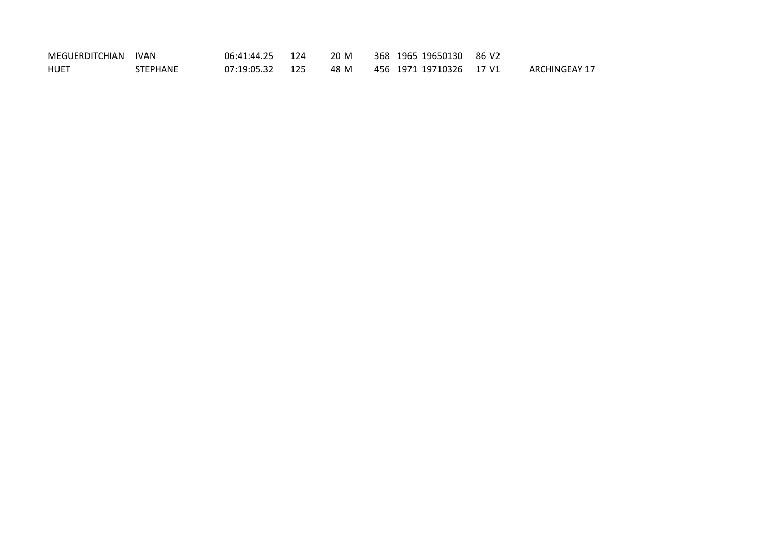| MEGUERDITCHIAN | IVAN            | 06:41:44.25 124 | 20 M | 368 1965 19650130 86 V2 |                      |
|----------------|-----------------|-----------------|------|-------------------------|----------------------|
| HUET           | <b>STEPHANE</b> | 07:19:05.32 125 | 48 M | 456 1971 19710326 17 V1 | <b>ARCHINGEAY 17</b> |